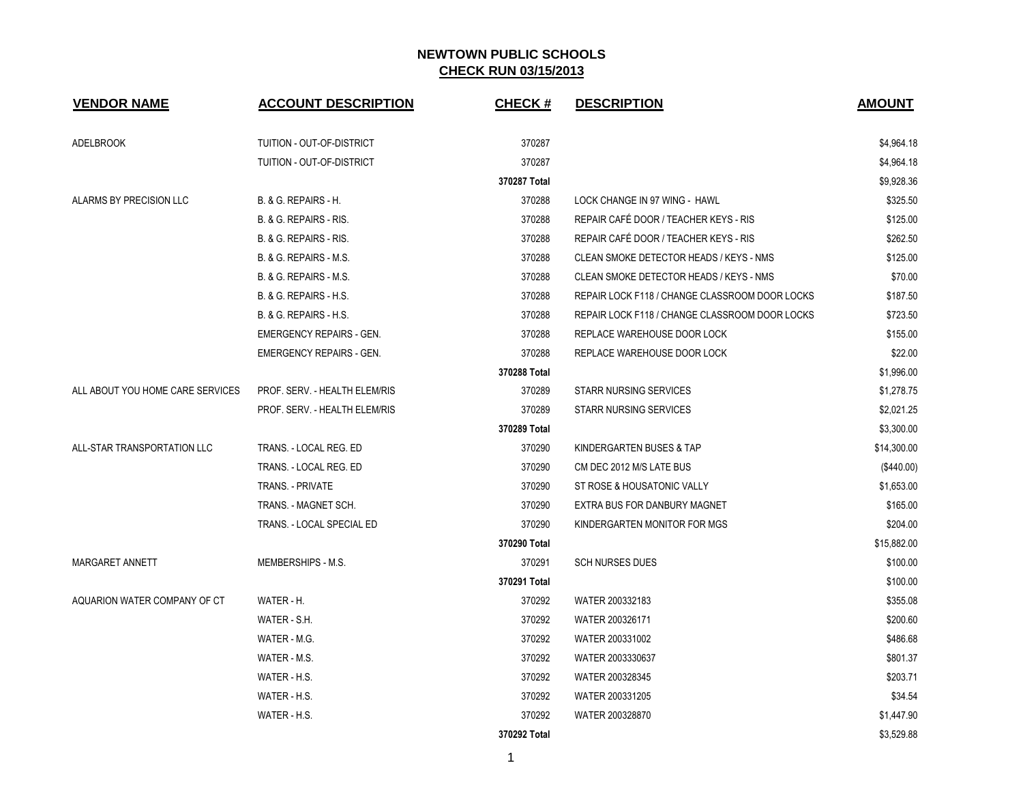| <b>VENDOR NAME</b>               | <b>ACCOUNT DESCRIPTION</b>        | <b>CHECK#</b> | <b>DESCRIPTION</b>                             | <b>AMOUNT</b> |
|----------------------------------|-----------------------------------|---------------|------------------------------------------------|---------------|
| <b>ADELBROOK</b>                 | TUITION - OUT-OF-DISTRICT         | 370287        |                                                | \$4,964.18    |
|                                  | TUITION - OUT-OF-DISTRICT         | 370287        |                                                | \$4,964.18    |
|                                  |                                   | 370287 Total  |                                                | \$9,928.36    |
| ALARMS BY PRECISION LLC          | B. & G. REPAIRS - H.              | 370288        | LOCK CHANGE IN 97 WING - HAWL                  | \$325.50      |
|                                  | B. & G. REPAIRS - RIS.            | 370288        | REPAIR CAFÉ DOOR / TEACHER KEYS - RIS          | \$125.00      |
|                                  | B. & G. REPAIRS - RIS.            | 370288        | REPAIR CAFÉ DOOR / TEACHER KEYS - RIS          | \$262.50      |
|                                  | B. & G. REPAIRS - M.S.            | 370288        | CLEAN SMOKE DETECTOR HEADS / KEYS - NMS        | \$125.00      |
|                                  | <b>B. &amp; G. REPAIRS - M.S.</b> | 370288        | CLEAN SMOKE DETECTOR HEADS / KEYS - NMS        | \$70.00       |
|                                  | B. & G. REPAIRS - H.S.            | 370288        | REPAIR LOCK F118 / CHANGE CLASSROOM DOOR LOCKS | \$187.50      |
|                                  | B. & G. REPAIRS - H.S.            | 370288        | REPAIR LOCK F118 / CHANGE CLASSROOM DOOR LOCKS | \$723.50      |
|                                  | <b>EMERGENCY REPAIRS - GEN.</b>   | 370288        | REPLACE WAREHOUSE DOOR LOCK                    | \$155.00      |
|                                  | <b>EMERGENCY REPAIRS - GEN.</b>   | 370288        | REPLACE WAREHOUSE DOOR LOCK                    | \$22.00       |
|                                  |                                   | 370288 Total  |                                                | \$1,996.00    |
| ALL ABOUT YOU HOME CARE SERVICES | PROF. SERV. - HEALTH ELEM/RIS     | 370289        | <b>STARR NURSING SERVICES</b>                  | \$1,278.75    |
|                                  | PROF. SERV. - HEALTH ELEM/RIS     | 370289        | <b>STARR NURSING SERVICES</b>                  | \$2,021.25    |
|                                  |                                   | 370289 Total  |                                                | \$3,300.00    |
| ALL-STAR TRANSPORTATION LLC      | TRANS. - LOCAL REG. ED            | 370290        | KINDERGARTEN BUSES & TAP                       | \$14,300.00   |
|                                  | TRANS. - LOCAL REG. ED            | 370290        | CM DEC 2012 M/S LATE BUS                       | (\$440.00)    |
|                                  | TRANS. - PRIVATE                  | 370290        | ST ROSE & HOUSATONIC VALLY                     | \$1,653.00    |
|                                  | TRANS. - MAGNET SCH.              | 370290        | EXTRA BUS FOR DANBURY MAGNET                   | \$165.00      |
|                                  | TRANS. - LOCAL SPECIAL ED         | 370290        | KINDERGARTEN MONITOR FOR MGS                   | \$204.00      |
|                                  |                                   | 370290 Total  |                                                | \$15,882.00   |
| MARGARET ANNETT                  | MEMBERSHIPS - M.S.                | 370291        | <b>SCH NURSES DUES</b>                         | \$100.00      |
|                                  |                                   | 370291 Total  |                                                | \$100.00      |
| AQUARION WATER COMPANY OF CT     | WATER - H.                        | 370292        | WATER 200332183                                | \$355.08      |
|                                  | WATER - S.H.                      | 370292        | WATER 200326171                                | \$200.60      |
|                                  | WATER - M.G.                      | 370292        | WATER 200331002                                | \$486.68      |
|                                  | WATER - M.S.                      | 370292        | WATER 2003330637                               | \$801.37      |
|                                  | WATER - H.S.                      | 370292        | WATER 200328345                                | \$203.71      |
|                                  | WATER - H.S.                      | 370292        | WATER 200331205                                | \$34.54       |
|                                  | WATER - H.S.                      | 370292        | WATER 200328870                                | \$1,447.90    |
|                                  |                                   | 370292 Total  |                                                | \$3,529.88    |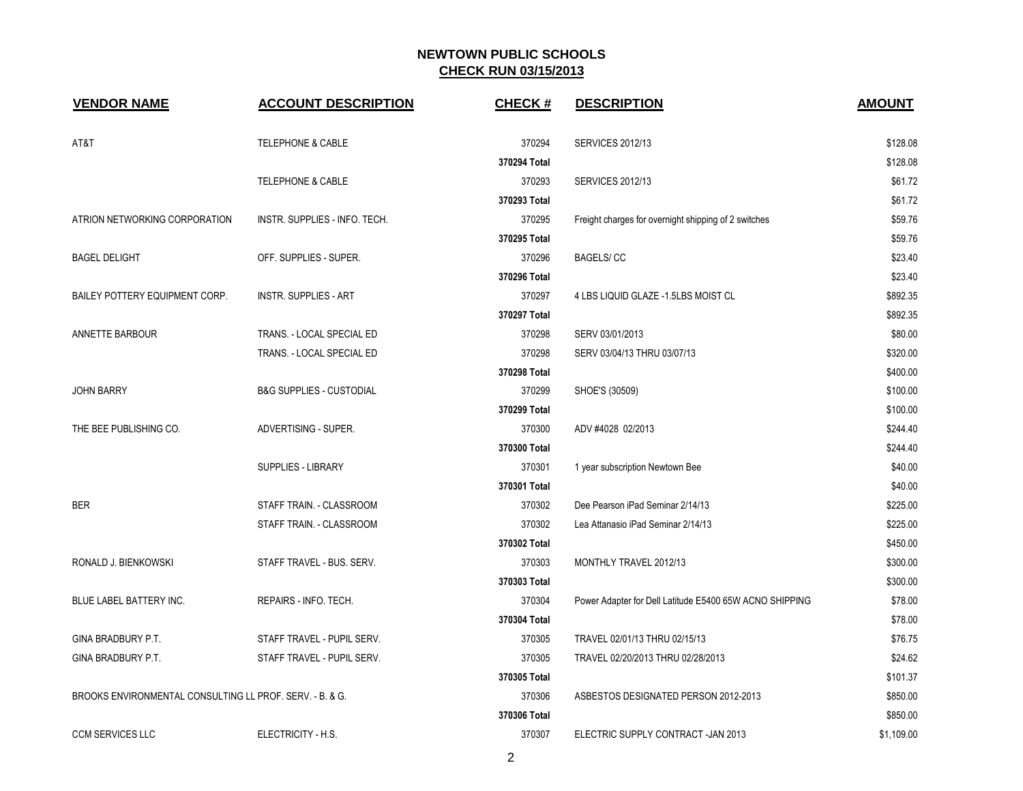| <b>VENDOR NAME</b>                                       | <b>ACCOUNT DESCRIPTION</b>          | <b>CHECK#</b> | <b>DESCRIPTION</b>                                      | <b>AMOUNT</b> |
|----------------------------------------------------------|-------------------------------------|---------------|---------------------------------------------------------|---------------|
| AT&T                                                     | <b>TELEPHONE &amp; CABLE</b>        | 370294        | <b>SERVICES 2012/13</b>                                 | \$128.08      |
|                                                          |                                     | 370294 Total  |                                                         | \$128.08      |
|                                                          | <b>TELEPHONE &amp; CABLE</b>        | 370293        | <b>SERVICES 2012/13</b>                                 | \$61.72       |
|                                                          |                                     | 370293 Total  |                                                         | \$61.72       |
| ATRION NETWORKING CORPORATION                            | INSTR. SUPPLIES - INFO. TECH.       | 370295        | Freight charges for overnight shipping of 2 switches    | \$59.76       |
|                                                          |                                     | 370295 Total  |                                                         | \$59.76       |
| <b>BAGEL DELIGHT</b>                                     | OFF. SUPPLIES - SUPER.              | 370296        | <b>BAGELS/CC</b>                                        | \$23.40       |
|                                                          |                                     | 370296 Total  |                                                         | \$23.40       |
| BAILEY POTTERY EQUIPMENT CORP.                           | <b>INSTR. SUPPLIES - ART</b>        | 370297        | 4 LBS LIQUID GLAZE -1.5LBS MOIST CL                     | \$892.35      |
|                                                          |                                     | 370297 Total  |                                                         | \$892.35      |
| ANNETTE BARBOUR                                          | TRANS. - LOCAL SPECIAL ED           | 370298        | SERV 03/01/2013                                         | \$80.00       |
|                                                          | TRANS. - LOCAL SPECIAL ED           | 370298        | SERV 03/04/13 THRU 03/07/13                             | \$320.00      |
|                                                          |                                     | 370298 Total  |                                                         | \$400.00      |
| <b>JOHN BARRY</b>                                        | <b>B&amp;G SUPPLIES - CUSTODIAL</b> | 370299        | SHOE'S (30509)                                          | \$100.00      |
|                                                          |                                     | 370299 Total  |                                                         | \$100.00      |
| THE BEE PUBLISHING CO.                                   | ADVERTISING - SUPER.                | 370300        | ADV #4028 02/2013                                       | \$244.40      |
|                                                          |                                     | 370300 Total  |                                                         | \$244.40      |
|                                                          | SUPPLIES - LIBRARY                  | 370301        | 1 year subscription Newtown Bee                         | \$40.00       |
|                                                          |                                     | 370301 Total  |                                                         | \$40.00       |
| <b>BER</b>                                               | STAFF TRAIN. - CLASSROOM            | 370302        | Dee Pearson iPad Seminar 2/14/13                        | \$225.00      |
|                                                          | STAFF TRAIN. - CLASSROOM            | 370302        | Lea Attanasio iPad Seminar 2/14/13                      | \$225.00      |
|                                                          |                                     | 370302 Total  |                                                         | \$450.00      |
| RONALD J. BIENKOWSKI                                     | STAFF TRAVEL - BUS. SERV.           | 370303        | MONTHLY TRAVEL 2012/13                                  | \$300.00      |
|                                                          |                                     | 370303 Total  |                                                         | \$300.00      |
| BLUE LABEL BATTERY INC.                                  | REPAIRS - INFO. TECH.               | 370304        | Power Adapter for Dell Latitude E5400 65W ACNO SHIPPING | \$78.00       |
|                                                          |                                     | 370304 Total  |                                                         | \$78.00       |
| GINA BRADBURY P.T.                                       | STAFF TRAVEL - PUPIL SERV.          | 370305        | TRAVEL 02/01/13 THRU 02/15/13                           | \$76.75       |
| GINA BRADBURY P.T.                                       | STAFF TRAVEL - PUPIL SERV.          | 370305        | TRAVEL 02/20/2013 THRU 02/28/2013                       | \$24.62       |
|                                                          |                                     | 370305 Total  |                                                         | \$101.37      |
| BROOKS ENVIRONMENTAL CONSULTING LL PROF. SERV. - B. & G. |                                     | 370306        | ASBESTOS DESIGNATED PERSON 2012-2013                    | \$850.00      |
|                                                          |                                     | 370306 Total  |                                                         | \$850.00      |
| <b>CCM SERVICES LLC</b>                                  | ELECTRICITY - H.S.                  | 370307        | ELECTRIC SUPPLY CONTRACT - JAN 2013                     | \$1,109.00    |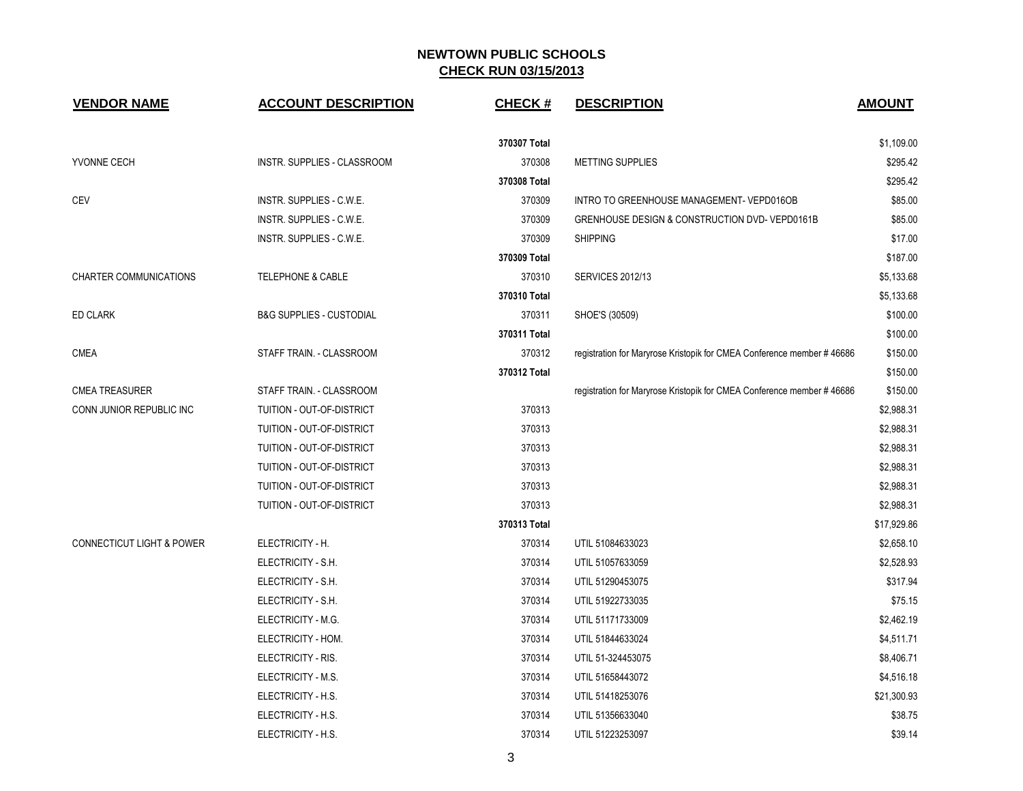| <b>VENDOR NAME</b>                   | <b>ACCOUNT DESCRIPTION</b>          | <b>CHECK#</b> | <b>DESCRIPTION</b>                                                    | <b>AMOUNT</b> |
|--------------------------------------|-------------------------------------|---------------|-----------------------------------------------------------------------|---------------|
|                                      |                                     | 370307 Total  |                                                                       | \$1,109.00    |
| YVONNE CECH                          | INSTR. SUPPLIES - CLASSROOM         | 370308        | <b>METTING SUPPLIES</b>                                               | \$295.42      |
|                                      |                                     | 370308 Total  |                                                                       | \$295.42      |
| <b>CEV</b>                           | INSTR. SUPPLIES - C.W.E.            | 370309        | INTRO TO GREENHOUSE MANAGEMENT-VEPD016OB                              | \$85.00       |
|                                      | INSTR. SUPPLIES - C.W.E.            | 370309        | GRENHOUSE DESIGN & CONSTRUCTION DVD-VEPD0161B                         | \$85.00       |
|                                      | INSTR. SUPPLIES - C.W.E.            | 370309        | <b>SHIPPING</b>                                                       | \$17.00       |
|                                      |                                     | 370309 Total  |                                                                       | \$187.00      |
| CHARTER COMMUNICATIONS               | TELEPHONE & CABLE                   | 370310        | <b>SERVICES 2012/13</b>                                               | \$5,133.68    |
|                                      |                                     | 370310 Total  |                                                                       | \$5,133.68    |
| <b>ED CLARK</b>                      | <b>B&amp;G SUPPLIES - CUSTODIAL</b> | 370311        | SHOE'S (30509)                                                        | \$100.00      |
|                                      |                                     | 370311 Total  |                                                                       | \$100.00      |
| <b>CMEA</b>                          | STAFF TRAIN. - CLASSROOM            | 370312        | registration for Maryrose Kristopik for CMEA Conference member #46686 | \$150.00      |
|                                      |                                     | 370312 Total  |                                                                       | \$150.00      |
| <b>CMEA TREASURER</b>                | STAFF TRAIN. - CLASSROOM            |               | registration for Maryrose Kristopik for CMEA Conference member #46686 | \$150.00      |
| CONN JUNIOR REPUBLIC INC             | TUITION - OUT-OF-DISTRICT           | 370313        |                                                                       | \$2,988.31    |
|                                      | TUITION - OUT-OF-DISTRICT           | 370313        |                                                                       | \$2,988.31    |
|                                      | TUITION - OUT-OF-DISTRICT           | 370313        |                                                                       | \$2,988.31    |
|                                      | TUITION - OUT-OF-DISTRICT           | 370313        |                                                                       | \$2,988.31    |
|                                      | TUITION - OUT-OF-DISTRICT           | 370313        |                                                                       | \$2,988.31    |
|                                      | TUITION - OUT-OF-DISTRICT           | 370313        |                                                                       | \$2,988.31    |
|                                      |                                     | 370313 Total  |                                                                       | \$17,929.86   |
| <b>CONNECTICUT LIGHT &amp; POWER</b> | ELECTRICITY - H.                    | 370314        | UTIL 51084633023                                                      | \$2,658.10    |
|                                      | ELECTRICITY - S.H.                  | 370314        | UTIL 51057633059                                                      | \$2,528.93    |
|                                      | ELECTRICITY - S.H.                  | 370314        | UTIL 51290453075                                                      | \$317.94      |
|                                      | ELECTRICITY - S.H.                  | 370314        | UTIL 51922733035                                                      | \$75.15       |
|                                      | ELECTRICITY - M.G.                  | 370314        | UTIL 51171733009                                                      | \$2,462.19    |
|                                      | ELECTRICITY - HOM.                  | 370314        | UTIL 51844633024                                                      | \$4,511.71    |
|                                      | ELECTRICITY - RIS.                  | 370314        | UTIL 51-324453075                                                     | \$8,406.71    |
|                                      | ELECTRICITY - M.S.                  | 370314        | UTIL 51658443072                                                      | \$4,516.18    |
|                                      | ELECTRICITY - H.S.                  | 370314        | UTIL 51418253076                                                      | \$21,300.93   |
|                                      | ELECTRICITY - H.S.                  | 370314        | UTIL 51356633040                                                      | \$38.75       |
|                                      | ELECTRICITY - H.S.                  | 370314        | UTIL 51223253097                                                      | \$39.14       |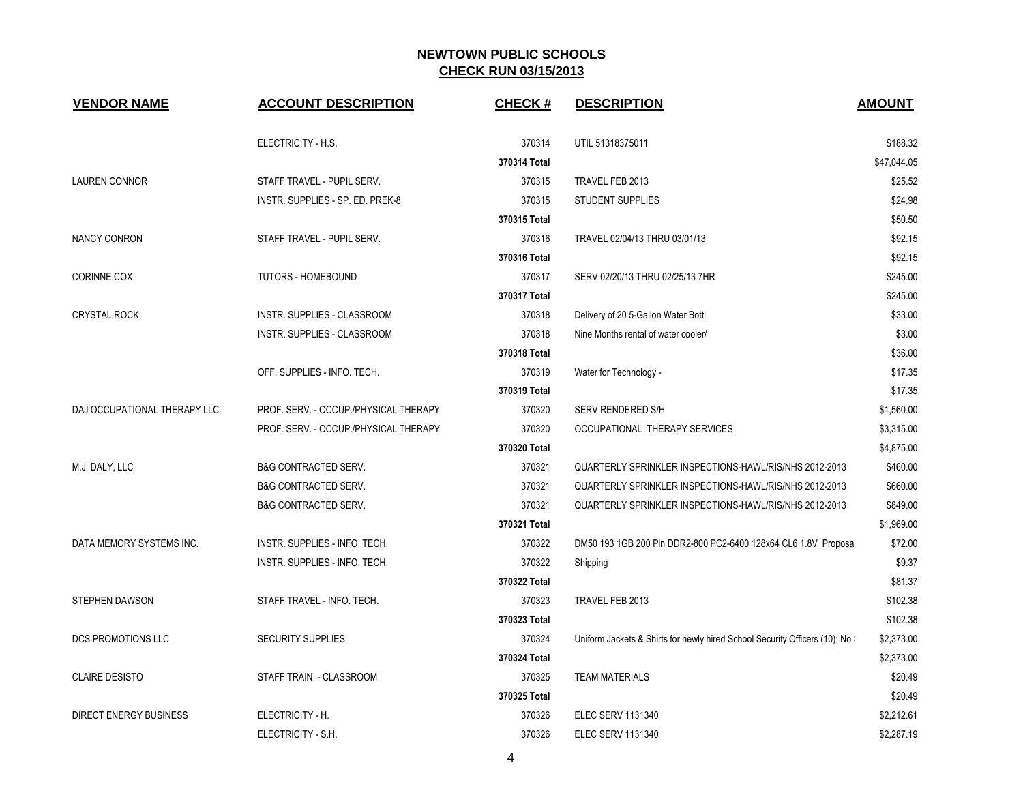| <b>VENDOR NAME</b>            | <b>ACCOUNT DESCRIPTION</b>            | <b>CHECK#</b> | <b>DESCRIPTION</b>                                                         | <b>AMOUNT</b> |
|-------------------------------|---------------------------------------|---------------|----------------------------------------------------------------------------|---------------|
|                               | ELECTRICITY - H.S.                    | 370314        | UTIL 51318375011                                                           | \$188.32      |
|                               |                                       | 370314 Total  |                                                                            | \$47,044.05   |
| <b>LAUREN CONNOR</b>          | STAFF TRAVEL - PUPIL SERV.            | 370315        | TRAVEL FEB 2013                                                            | \$25.52       |
|                               | INSTR. SUPPLIES - SP. ED. PREK-8      | 370315        | <b>STUDENT SUPPLIES</b>                                                    | \$24.98       |
|                               |                                       | 370315 Total  |                                                                            | \$50.50       |
| NANCY CONRON                  | STAFF TRAVEL - PUPIL SERV.            | 370316        | TRAVEL 02/04/13 THRU 03/01/13                                              | \$92.15       |
|                               |                                       | 370316 Total  |                                                                            | \$92.15       |
| <b>CORINNE COX</b>            | TUTORS - HOMEBOUND                    | 370317        | SERV 02/20/13 THRU 02/25/13 7HR                                            | \$245.00      |
|                               |                                       | 370317 Total  |                                                                            | \$245.00      |
| <b>CRYSTAL ROCK</b>           | INSTR. SUPPLIES - CLASSROOM           | 370318        | Delivery of 20 5-Gallon Water Bottl                                        | \$33.00       |
|                               | INSTR. SUPPLIES - CLASSROOM           | 370318        | Nine Months rental of water cooler/                                        | \$3.00        |
|                               |                                       | 370318 Total  |                                                                            | \$36.00       |
|                               | OFF. SUPPLIES - INFO. TECH.           | 370319        | Water for Technology -                                                     | \$17.35       |
|                               |                                       | 370319 Total  |                                                                            | \$17.35       |
| DAJ OCCUPATIONAL THERAPY LLC  | PROF. SERV. - OCCUP./PHYSICAL THERAPY | 370320        | <b>SERV RENDERED S/H</b>                                                   | \$1,560.00    |
|                               | PROF. SERV. - OCCUP./PHYSICAL THERAPY | 370320        | OCCUPATIONAL THERAPY SERVICES                                              | \$3,315.00    |
|                               |                                       | 370320 Total  |                                                                            | \$4,875.00    |
| M.J. DALY, LLC                | <b>B&amp;G CONTRACTED SERV.</b>       | 370321        | QUARTERLY SPRINKLER INSPECTIONS-HAWL/RIS/NHS 2012-2013                     | \$460.00      |
|                               | <b>B&amp;G CONTRACTED SERV.</b>       | 370321        | QUARTERLY SPRINKLER INSPECTIONS-HAWL/RIS/NHS 2012-2013                     | \$660.00      |
|                               | <b>B&amp;G CONTRACTED SERV.</b>       | 370321        | QUARTERLY SPRINKLER INSPECTIONS-HAWL/RIS/NHS 2012-2013                     | \$849.00      |
|                               |                                       | 370321 Total  |                                                                            | \$1,969.00    |
| DATA MEMORY SYSTEMS INC.      | INSTR. SUPPLIES - INFO. TECH.         | 370322        | DM50 193 1GB 200 Pin DDR2-800 PC2-6400 128x64 CL6 1.8V Proposa             | \$72.00       |
|                               | INSTR. SUPPLIES - INFO. TECH.         | 370322        | Shipping                                                                   | \$9.37        |
|                               |                                       | 370322 Total  |                                                                            | \$81.37       |
| <b>STEPHEN DAWSON</b>         | STAFF TRAVEL - INFO. TECH.            | 370323        | TRAVEL FEB 2013                                                            | \$102.38      |
|                               |                                       | 370323 Total  |                                                                            | \$102.38      |
| DCS PROMOTIONS LLC            | <b>SECURITY SUPPLIES</b>              | 370324        | Uniform Jackets & Shirts for newly hired School Security Officers (10); No | \$2,373.00    |
|                               |                                       | 370324 Total  |                                                                            | \$2,373.00    |
| <b>CLAIRE DESISTO</b>         | STAFF TRAIN. - CLASSROOM              | 370325        | <b>TEAM MATERIALS</b>                                                      | \$20.49       |
|                               |                                       | 370325 Total  |                                                                            | \$20.49       |
| <b>DIRECT ENERGY BUSINESS</b> | ELECTRICITY - H.                      | 370326        | <b>ELEC SERV 1131340</b>                                                   | \$2,212.61    |
|                               | ELECTRICITY - S.H.                    | 370326        | <b>ELEC SERV 1131340</b>                                                   | \$2,287.19    |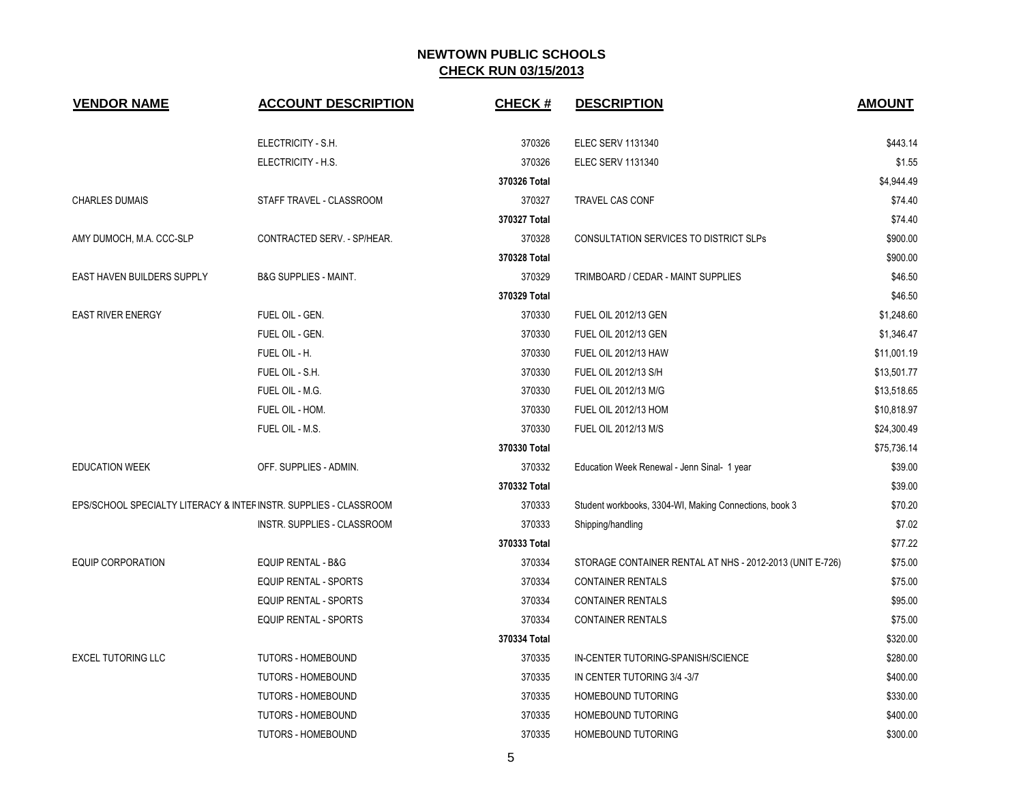| <b>VENDOR NAME</b>         | <b>ACCOUNT DESCRIPTION</b>                                        | <b>CHECK#</b> | <b>DESCRIPTION</b>                                       | <b>AMOUNT</b> |
|----------------------------|-------------------------------------------------------------------|---------------|----------------------------------------------------------|---------------|
|                            | ELECTRICITY - S.H.                                                | 370326        | <b>ELEC SERV 1131340</b>                                 | \$443.14      |
|                            | ELECTRICITY - H.S.                                                | 370326        | <b>ELEC SERV 1131340</b>                                 | \$1.55        |
|                            |                                                                   | 370326 Total  |                                                          | \$4,944.49    |
| <b>CHARLES DUMAIS</b>      | STAFF TRAVEL - CLASSROOM                                          | 370327        | <b>TRAVEL CAS CONF</b>                                   | \$74.40       |
|                            |                                                                   | 370327 Total  |                                                          | \$74.40       |
| AMY DUMOCH, M.A. CCC-SLP   | CONTRACTED SERV. - SP/HEAR.                                       | 370328        | CONSULTATION SERVICES TO DISTRICT SLPs                   | \$900.00      |
|                            |                                                                   | 370328 Total  |                                                          | \$900.00      |
| EAST HAVEN BUILDERS SUPPLY | <b>B&amp;G SUPPLIES - MAINT.</b>                                  | 370329        | TRIMBOARD / CEDAR - MAINT SUPPLIES                       | \$46.50       |
|                            |                                                                   | 370329 Total  |                                                          | \$46.50       |
| <b>EAST RIVER ENERGY</b>   | FUEL OIL - GEN.                                                   | 370330        | FUEL OIL 2012/13 GEN                                     | \$1,248.60    |
|                            | FUEL OIL - GEN.                                                   | 370330        | <b>FUEL OIL 2012/13 GEN</b>                              | \$1,346.47    |
|                            | FUEL OIL - H.                                                     | 370330        | <b>FUEL OIL 2012/13 HAW</b>                              | \$11,001.19   |
|                            | FUEL OIL - S.H.                                                   | 370330        | FUEL OIL 2012/13 S/H                                     | \$13,501.77   |
|                            | FUEL OIL - M.G.                                                   | 370330        | FUEL OIL 2012/13 M/G                                     | \$13,518.65   |
|                            | FUEL OIL - HOM.                                                   | 370330        | <b>FUEL OIL 2012/13 HOM</b>                              | \$10,818.97   |
|                            | FUEL OIL - M.S.                                                   | 370330        | FUEL OIL 2012/13 M/S                                     | \$24,300.49   |
|                            |                                                                   | 370330 Total  |                                                          | \$75,736.14   |
| <b>EDUCATION WEEK</b>      | OFF. SUPPLIES - ADMIN.                                            | 370332        | Education Week Renewal - Jenn Sinal- 1 year              | \$39.00       |
|                            |                                                                   | 370332 Total  |                                                          | \$39.00       |
|                            | EPS/SCHOOL SPECIALTY LITERACY & INTEF INSTR. SUPPLIES - CLASSROOM | 370333        | Student workbooks, 3304-WI, Making Connections, book 3   | \$70.20       |
|                            | INSTR. SUPPLIES - CLASSROOM                                       | 370333        | Shipping/handling                                        | \$7.02        |
|                            |                                                                   | 370333 Total  |                                                          | \$77.22       |
| <b>EQUIP CORPORATION</b>   | <b>EQUIP RENTAL - B&amp;G</b>                                     | 370334        | STORAGE CONTAINER RENTAL AT NHS - 2012-2013 (UNIT E-726) | \$75.00       |
|                            | <b>EQUIP RENTAL - SPORTS</b>                                      | 370334        | <b>CONTAINER RENTALS</b>                                 | \$75.00       |
|                            | <b>EQUIP RENTAL - SPORTS</b>                                      | 370334        | <b>CONTAINER RENTALS</b>                                 | \$95.00       |
|                            | <b>EQUIP RENTAL - SPORTS</b>                                      | 370334        | <b>CONTAINER RENTALS</b>                                 | \$75.00       |
|                            |                                                                   | 370334 Total  |                                                          | \$320.00      |
| <b>EXCEL TUTORING LLC</b>  | <b>TUTORS - HOMEBOUND</b>                                         | 370335        | IN-CENTER TUTORING-SPANISH/SCIENCE                       | \$280.00      |
|                            | <b>TUTORS - HOMEBOUND</b>                                         | 370335        | IN CENTER TUTORING 3/4 - 3/7                             | \$400.00      |
|                            | TUTORS - HOMEBOUND                                                | 370335        | <b>HOMEBOUND TUTORING</b>                                | \$330.00      |
|                            | TUTORS - HOMEBOUND                                                | 370335        | HOMEBOUND TUTORING                                       | \$400.00      |
|                            | <b>TUTORS - HOMEBOUND</b>                                         | 370335        | HOMEBOUND TUTORING                                       | \$300.00      |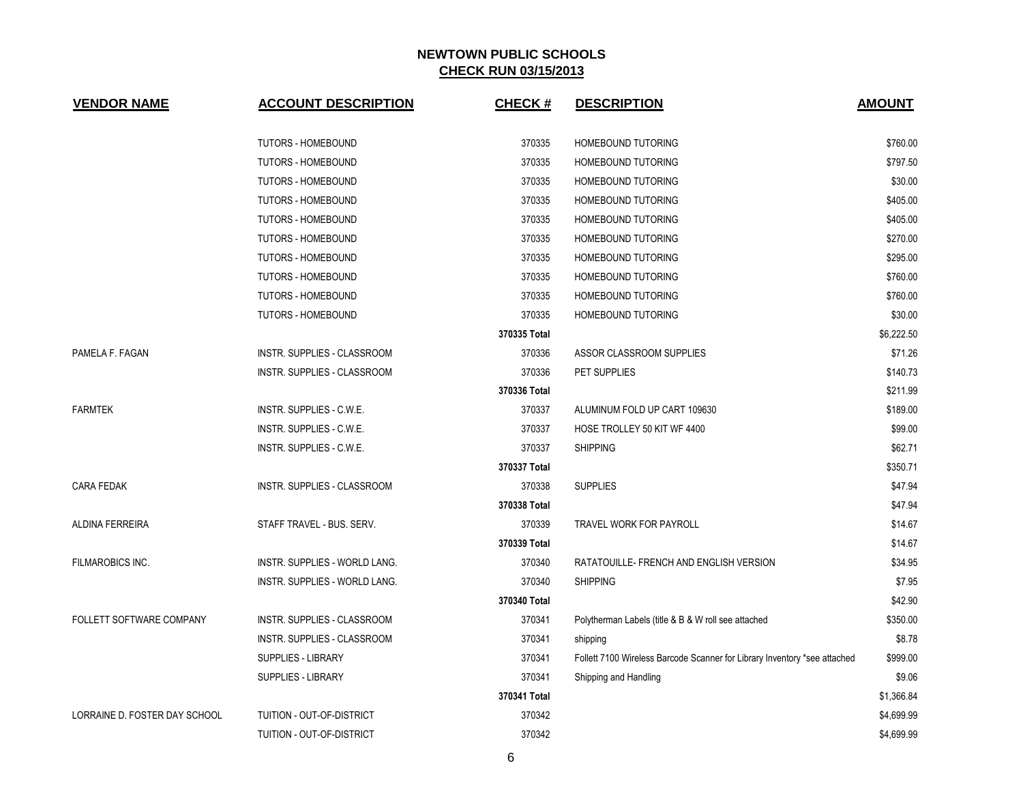| <b>VENDOR NAME</b>            | <b>ACCOUNT DESCRIPTION</b>           | <b>CHECK#</b> | <b>DESCRIPTION</b>                                                        | <b>AMOUNT</b> |
|-------------------------------|--------------------------------------|---------------|---------------------------------------------------------------------------|---------------|
|                               | TUTORS - HOMEBOUND                   | 370335        | HOMEBOUND TUTORING                                                        | \$760.00      |
|                               | TUTORS - HOMEBOUND                   | 370335        | HOMEBOUND TUTORING                                                        | \$797.50      |
|                               | TUTORS - HOMEBOUND                   | 370335        | HOMEBOUND TUTORING                                                        | \$30.00       |
|                               | TUTORS - HOMEBOUND                   | 370335        | HOMEBOUND TUTORING                                                        | \$405.00      |
|                               | TUTORS - HOMEBOUND                   | 370335        | HOMEBOUND TUTORING                                                        | \$405.00      |
|                               | TUTORS - HOMEBOUND                   | 370335        | <b>HOMEBOUND TUTORING</b>                                                 | \$270.00      |
|                               | TUTORS - HOMEBOUND                   | 370335        | <b>HOMEBOUND TUTORING</b>                                                 | \$295.00      |
|                               | TUTORS - HOMEBOUND                   | 370335        | HOMEBOUND TUTORING                                                        | \$760.00      |
|                               | TUTORS - HOMEBOUND                   | 370335        | <b>HOMEBOUND TUTORING</b>                                                 | \$760.00      |
|                               | TUTORS - HOMEBOUND                   | 370335        | HOMEBOUND TUTORING                                                        | \$30.00       |
|                               |                                      | 370335 Total  |                                                                           | \$6,222.50    |
| PAMELA F. FAGAN               | INSTR. SUPPLIES - CLASSROOM          | 370336        | ASSOR CLASSROOM SUPPLIES                                                  | \$71.26       |
|                               | INSTR. SUPPLIES - CLASSROOM          | 370336        | PET SUPPLIES                                                              | \$140.73      |
|                               |                                      | 370336 Total  |                                                                           | \$211.99      |
| <b>FARMTEK</b>                | INSTR. SUPPLIES - C.W.E.             | 370337        | ALUMINUM FOLD UP CART 109630                                              | \$189.00      |
|                               | INSTR. SUPPLIES - C.W.E.             | 370337        | HOSE TROLLEY 50 KIT WF 4400                                               | \$99.00       |
|                               | INSTR. SUPPLIES - C.W.E.             | 370337        | <b>SHIPPING</b>                                                           | \$62.71       |
|                               |                                      | 370337 Total  |                                                                           | \$350.71      |
| <b>CARA FEDAK</b>             | INSTR. SUPPLIES - CLASSROOM          | 370338        | <b>SUPPLIES</b>                                                           | \$47.94       |
|                               |                                      | 370338 Total  |                                                                           | \$47.94       |
| ALDINA FERREIRA               | STAFF TRAVEL - BUS. SERV.            | 370339        | TRAVEL WORK FOR PAYROLL                                                   | \$14.67       |
|                               |                                      | 370339 Total  |                                                                           | \$14.67       |
| <b>FILMAROBICS INC.</b>       | <b>INSTR. SUPPLIES - WORLD LANG.</b> | 370340        | RATATOUILLE- FRENCH AND ENGLISH VERSION                                   | \$34.95       |
|                               | INSTR. SUPPLIES - WORLD LANG.        | 370340        | <b>SHIPPING</b>                                                           | \$7.95        |
|                               |                                      | 370340 Total  |                                                                           | \$42.90       |
| FOLLETT SOFTWARE COMPANY      | INSTR. SUPPLIES - CLASSROOM          | 370341        | Polytherman Labels (title & B & W roll see attached                       | \$350.00      |
|                               | INSTR. SUPPLIES - CLASSROOM          | 370341        | shipping                                                                  | \$8.78        |
|                               | <b>SUPPLIES - LIBRARY</b>            | 370341        | Follett 7100 Wireless Barcode Scanner for Library Inventory *see attached | \$999.00      |
|                               | <b>SUPPLIES - LIBRARY</b>            | 370341        | Shipping and Handling                                                     | \$9.06        |
|                               |                                      | 370341 Total  |                                                                           | \$1,366.84    |
| LORRAINE D. FOSTER DAY SCHOOL | TUITION - OUT-OF-DISTRICT            | 370342        |                                                                           | \$4,699.99    |
|                               | TUITION - OUT-OF-DISTRICT            | 370342        |                                                                           | \$4,699.99    |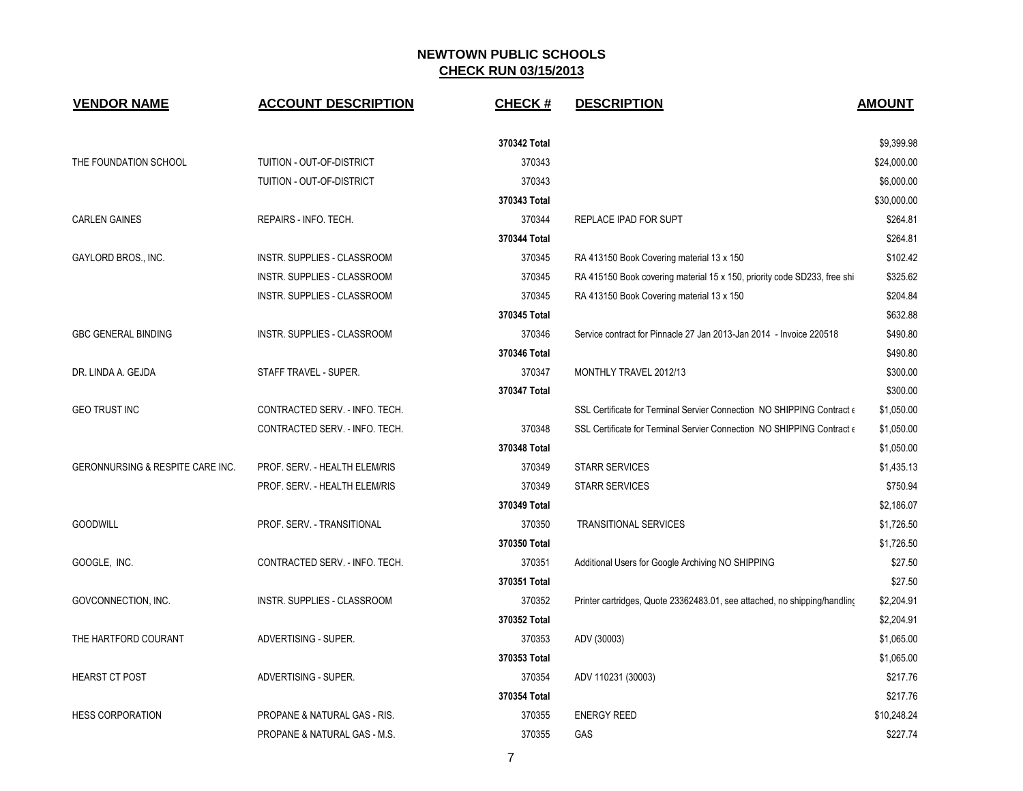| <b>VENDOR NAME</b>               | <b>ACCOUNT DESCRIPTION</b>     | <b>CHECK#</b> | <b>DESCRIPTION</b>                                                              | <b>AMOUNT</b> |
|----------------------------------|--------------------------------|---------------|---------------------------------------------------------------------------------|---------------|
|                                  |                                | 370342 Total  |                                                                                 | \$9,399.98    |
| THE FOUNDATION SCHOOL            | TUITION - OUT-OF-DISTRICT      | 370343        |                                                                                 | \$24,000.00   |
|                                  | TUITION - OUT-OF-DISTRICT      | 370343        |                                                                                 | \$6,000.00    |
|                                  |                                | 370343 Total  |                                                                                 | \$30,000.00   |
| <b>CARLEN GAINES</b>             | REPAIRS - INFO. TECH.          | 370344        | <b>REPLACE IPAD FOR SUPT</b>                                                    | \$264.81      |
|                                  |                                | 370344 Total  |                                                                                 | \$264.81      |
| GAYLORD BROS., INC.              | INSTR. SUPPLIES - CLASSROOM    | 370345        | RA 413150 Book Covering material 13 x 150                                       | \$102.42      |
|                                  | INSTR. SUPPLIES - CLASSROOM    | 370345        | RA 415150 Book covering material 15 x 150, priority code SD233, free shi        | \$325.62      |
|                                  | INSTR. SUPPLIES - CLASSROOM    | 370345        | RA 413150 Book Covering material 13 x 150                                       | \$204.84      |
|                                  |                                | 370345 Total  |                                                                                 | \$632.88      |
| <b>GBC GENERAL BINDING</b>       | INSTR. SUPPLIES - CLASSROOM    | 370346        | Service contract for Pinnacle 27 Jan 2013-Jan 2014 - Invoice 220518             | \$490.80      |
|                                  |                                | 370346 Total  |                                                                                 | \$490.80      |
| DR. LINDA A. GEJDA               | STAFF TRAVEL - SUPER.          | 370347        | MONTHLY TRAVEL 2012/13                                                          | \$300.00      |
|                                  |                                | 370347 Total  |                                                                                 | \$300.00      |
| <b>GEO TRUST INC</b>             | CONTRACTED SERV. - INFO. TECH. |               | SSL Certificate for Terminal Servier Connection NO SHIPPING Contract $\epsilon$ | \$1,050.00    |
|                                  | CONTRACTED SERV. - INFO. TECH. | 370348        | SSL Certificate for Terminal Servier Connection NO SHIPPING Contract $\epsilon$ | \$1,050.00    |
|                                  |                                | 370348 Total  |                                                                                 | \$1,050.00    |
| GERONNURSING & RESPITE CARE INC. | PROF. SERV. - HEALTH ELEM/RIS  | 370349        | <b>STARR SERVICES</b>                                                           | \$1,435.13    |
|                                  | PROF. SERV. - HEALTH ELEM/RIS  | 370349        | <b>STARR SERVICES</b>                                                           | \$750.94      |
|                                  |                                | 370349 Total  |                                                                                 | \$2,186.07    |
| <b>GOODWILL</b>                  | PROF. SERV. - TRANSITIONAL     | 370350        | <b>TRANSITIONAL SERVICES</b>                                                    | \$1,726.50    |
|                                  |                                | 370350 Total  |                                                                                 | \$1,726.50    |
| GOOGLE, INC.                     | CONTRACTED SERV. - INFO. TECH. | 370351        | Additional Users for Google Archiving NO SHIPPING                               | \$27.50       |
|                                  |                                | 370351 Total  |                                                                                 | \$27.50       |
| GOVCONNECTION, INC.              | INSTR. SUPPLIES - CLASSROOM    | 370352        | Printer cartridges, Quote 23362483.01, see attached, no shipping/handling       | \$2,204.91    |
|                                  |                                | 370352 Total  |                                                                                 | \$2,204.91    |
| THE HARTFORD COURANT             | ADVERTISING - SUPER.           | 370353        | ADV (30003)                                                                     | \$1,065.00    |
|                                  |                                | 370353 Total  |                                                                                 | \$1,065.00    |
| <b>HEARST CT POST</b>            | ADVERTISING - SUPER.           | 370354        | ADV 110231 (30003)                                                              | \$217.76      |
|                                  |                                | 370354 Total  |                                                                                 | \$217.76      |
| <b>HESS CORPORATION</b>          | PROPANE & NATURAL GAS - RIS.   | 370355        | <b>ENERGY REED</b>                                                              | \$10,248.24   |
|                                  | PROPANE & NATURAL GAS - M.S.   | 370355        | GAS                                                                             | \$227.74      |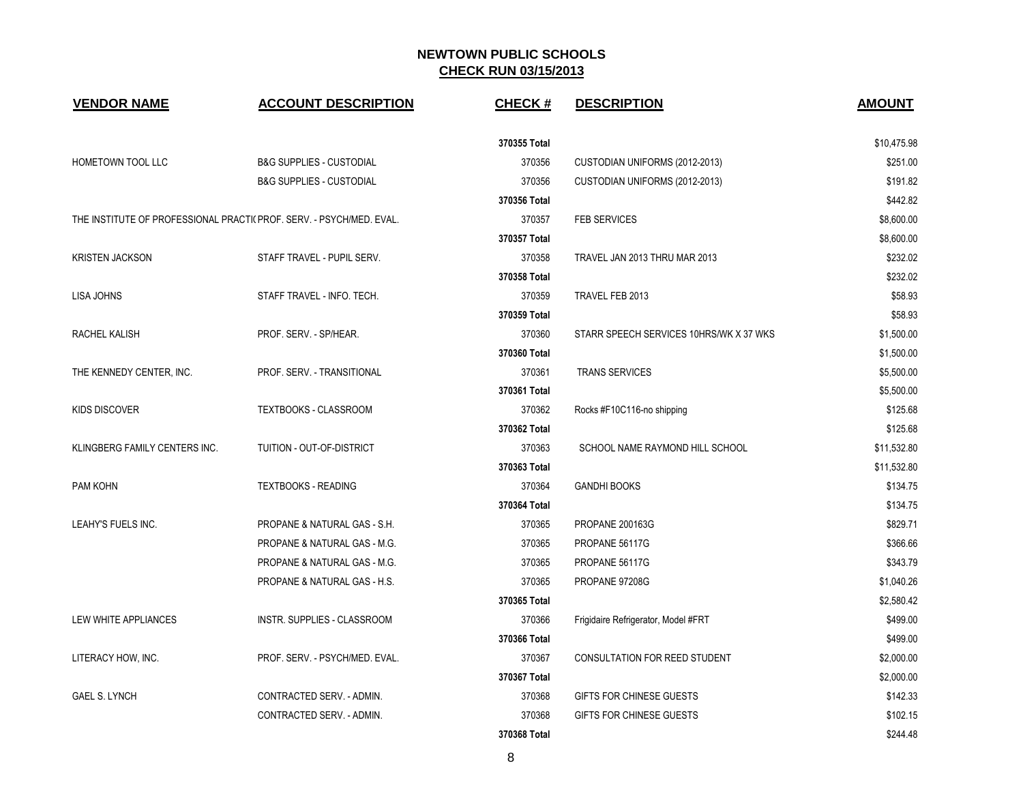| <b>VENDOR NAME</b>            | <b>ACCOUNT DESCRIPTION</b>                                          | <b>CHECK#</b> | <b>DESCRIPTION</b>                      | <b>AMOUNT</b> |
|-------------------------------|---------------------------------------------------------------------|---------------|-----------------------------------------|---------------|
|                               |                                                                     | 370355 Total  |                                         | \$10,475.98   |
| HOMETOWN TOOL LLC             | <b>B&amp;G SUPPLIES - CUSTODIAL</b>                                 | 370356        | CUSTODIAN UNIFORMS (2012-2013)          | \$251.00      |
|                               | <b>B&amp;G SUPPLIES - CUSTODIAL</b>                                 | 370356        | CUSTODIAN UNIFORMS (2012-2013)          | \$191.82      |
|                               |                                                                     | 370356 Total  |                                         | \$442.82      |
|                               | THE INSTITUTE OF PROFESSIONAL PRACTI(PROF. SERV. - PSYCH/MED. EVAL. | 370357        | <b>FEB SERVICES</b>                     | \$8,600.00    |
|                               |                                                                     | 370357 Total  |                                         | \$8,600.00    |
| <b>KRISTEN JACKSON</b>        | STAFF TRAVEL - PUPIL SERV.                                          | 370358        | TRAVEL JAN 2013 THRU MAR 2013           | \$232.02      |
|                               |                                                                     | 370358 Total  |                                         | \$232.02      |
| LISA JOHNS                    | STAFF TRAVEL - INFO. TECH.                                          | 370359        | TRAVEL FEB 2013                         | \$58.93       |
|                               |                                                                     | 370359 Total  |                                         | \$58.93       |
| RACHEL KALISH                 | PROF. SERV. - SP/HEAR.                                              | 370360        | STARR SPEECH SERVICES 10HRS/WK X 37 WKS | \$1,500.00    |
|                               |                                                                     | 370360 Total  |                                         | \$1,500.00    |
| THE KENNEDY CENTER, INC.      | PROF. SERV. - TRANSITIONAL                                          | 370361        | <b>TRANS SERVICES</b>                   | \$5,500.00    |
|                               |                                                                     | 370361 Total  |                                         | \$5,500.00    |
| <b>KIDS DISCOVER</b>          | TEXTBOOKS - CLASSROOM                                               | 370362        | Rocks #F10C116-no shipping              | \$125.68      |
|                               |                                                                     | 370362 Total  |                                         | \$125.68      |
| KLINGBERG FAMILY CENTERS INC. | TUITION - OUT-OF-DISTRICT                                           | 370363        | SCHOOL NAME RAYMOND HILL SCHOOL         | \$11,532.80   |
|                               |                                                                     | 370363 Total  |                                         | \$11,532.80   |
| PAM KOHN                      | <b>TEXTBOOKS - READING</b>                                          | 370364        | <b>GANDHI BOOKS</b>                     | \$134.75      |
|                               |                                                                     | 370364 Total  |                                         | \$134.75      |
| LEAHY'S FUELS INC.            | PROPANE & NATURAL GAS - S.H.                                        | 370365        | <b>PROPANE 200163G</b>                  | \$829.71      |
|                               | PROPANE & NATURAL GAS - M.G.                                        | 370365        | PROPANE 56117G                          | \$366.66      |
|                               | PROPANE & NATURAL GAS - M.G.                                        | 370365        | PROPANE 56117G                          | \$343.79      |
|                               | PROPANE & NATURAL GAS - H.S.                                        | 370365        | PROPANE 97208G                          | \$1,040.26    |
|                               |                                                                     | 370365 Total  |                                         | \$2,580.42    |
| LEW WHITE APPLIANCES          | INSTR. SUPPLIES - CLASSROOM                                         | 370366        | Frigidaire Refrigerator, Model #FRT     | \$499.00      |
|                               |                                                                     | 370366 Total  |                                         | \$499.00      |
| LITERACY HOW, INC.            | PROF. SERV. - PSYCH/MED. EVAL.                                      | 370367        | CONSULTATION FOR REED STUDENT           | \$2,000.00    |
|                               |                                                                     | 370367 Total  |                                         | \$2,000.00    |
| <b>GAEL S. LYNCH</b>          | CONTRACTED SERV. - ADMIN.                                           | 370368        | GIFTS FOR CHINESE GUESTS                | \$142.33      |
|                               | CONTRACTED SERV. - ADMIN.                                           | 370368        | <b>GIFTS FOR CHINESE GUESTS</b>         | \$102.15      |
|                               |                                                                     | 370368 Total  |                                         | \$244.48      |

8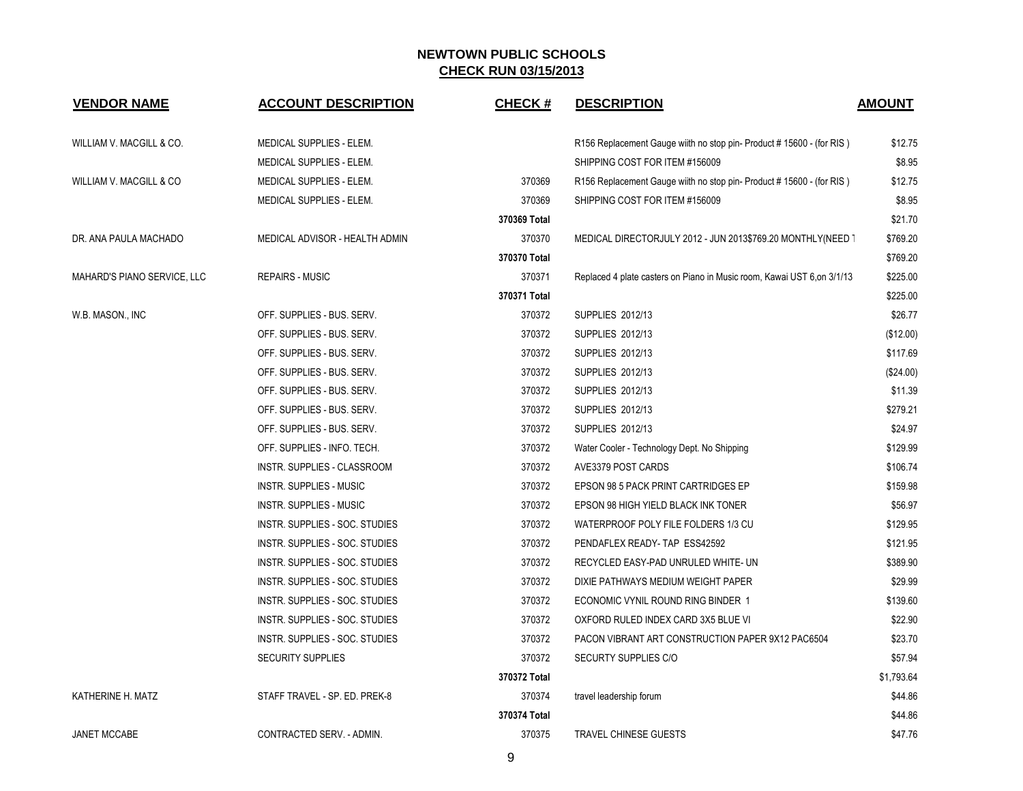| <b>VENDOR NAME</b>          | <b>ACCOUNT DESCRIPTION</b>     | <b>CHECK#</b> | <b>DESCRIPTION</b>                                                      | <b>AMOUNT</b> |
|-----------------------------|--------------------------------|---------------|-------------------------------------------------------------------------|---------------|
| WILLIAM V. MACGILL & CO.    | MEDICAL SUPPLIES - ELEM.       |               | R156 Replacement Gauge wiith no stop pin- Product # 15600 - (for RIS)   | \$12.75       |
|                             | MEDICAL SUPPLIES - ELEM.       |               | SHIPPING COST FOR ITEM #156009                                          | \$8.95        |
| WILLIAM V. MACGILL & CO     | MEDICAL SUPPLIES - ELEM.       | 370369        | R156 Replacement Gauge wiith no stop pin- Product # 15600 - (for RIS)   | \$12.75       |
|                             | MEDICAL SUPPLIES - ELEM.       | 370369        | SHIPPING COST FOR ITEM #156009                                          | \$8.95        |
|                             |                                | 370369 Total  |                                                                         | \$21.70       |
| DR. ANA PAULA MACHADO       | MEDICAL ADVISOR - HEALTH ADMIN | 370370        | MEDICAL DIRECTORJULY 2012 - JUN 2013\$769.20 MONTHLY(NEED 1             | \$769.20      |
|                             |                                | 370370 Total  |                                                                         | \$769.20      |
| MAHARD'S PIANO SERVICE, LLC | <b>REPAIRS - MUSIC</b>         | 370371        | Replaced 4 plate casters on Piano in Music room, Kawai UST 6, on 3/1/13 | \$225.00      |
|                             |                                | 370371 Total  |                                                                         | \$225.00      |
| W.B. MASON., INC            | OFF. SUPPLIES - BUS. SERV.     | 370372        | SUPPLIES 2012/13                                                        | \$26.77       |
|                             | OFF. SUPPLIES - BUS. SERV.     | 370372        | SUPPLIES 2012/13                                                        | (\$12.00)     |
|                             | OFF. SUPPLIES - BUS. SERV.     | 370372        | SUPPLIES 2012/13                                                        | \$117.69      |
|                             | OFF. SUPPLIES - BUS. SERV.     | 370372        | SUPPLIES 2012/13                                                        | (\$24.00)     |
|                             | OFF. SUPPLIES - BUS. SERV.     | 370372        | SUPPLIES 2012/13                                                        | \$11.39       |
|                             | OFF. SUPPLIES - BUS. SERV.     | 370372        | <b>SUPPLIES 2012/13</b>                                                 | \$279.21      |
|                             | OFF. SUPPLIES - BUS. SERV.     | 370372        | SUPPLIES 2012/13                                                        | \$24.97       |
|                             | OFF. SUPPLIES - INFO. TECH.    | 370372        | Water Cooler - Technology Dept. No Shipping                             | \$129.99      |
|                             | INSTR. SUPPLIES - CLASSROOM    | 370372        | AVE3379 POST CARDS                                                      | \$106.74      |
|                             | <b>INSTR. SUPPLIES - MUSIC</b> | 370372        | EPSON 98 5 PACK PRINT CARTRIDGES EP                                     | \$159.98      |
|                             | <b>INSTR. SUPPLIES - MUSIC</b> | 370372        | EPSON 98 HIGH YIELD BLACK INK TONER                                     | \$56.97       |
|                             | INSTR. SUPPLIES - SOC. STUDIES | 370372        | WATERPROOF POLY FILE FOLDERS 1/3 CU                                     | \$129.95      |
|                             | INSTR. SUPPLIES - SOC. STUDIES | 370372        | PENDAFLEX READY- TAP ESS42592                                           | \$121.95      |
|                             | INSTR. SUPPLIES - SOC. STUDIES | 370372        | RECYCLED EASY-PAD UNRULED WHITE- UN                                     | \$389.90      |
|                             | INSTR. SUPPLIES - SOC. STUDIES | 370372        | DIXIE PATHWAYS MEDIUM WEIGHT PAPER                                      | \$29.99       |
|                             | INSTR. SUPPLIES - SOC. STUDIES | 370372        | ECONOMIC VYNIL ROUND RING BINDER 1                                      | \$139.60      |
|                             | INSTR. SUPPLIES - SOC. STUDIES | 370372        | OXFORD RULED INDEX CARD 3X5 BLUE VI                                     | \$22.90       |
|                             | INSTR. SUPPLIES - SOC. STUDIES | 370372        | PACON VIBRANT ART CONSTRUCTION PAPER 9X12 PAC6504                       | \$23.70       |
|                             | <b>SECURITY SUPPLIES</b>       | 370372        | SECURTY SUPPLIES C/O                                                    | \$57.94       |
|                             |                                | 370372 Total  |                                                                         | \$1,793.64    |
| KATHERINE H. MATZ           | STAFF TRAVEL - SP. ED. PREK-8  | 370374        | travel leadership forum                                                 | \$44.86       |
|                             |                                | 370374 Total  |                                                                         | \$44.86       |
| <b>JANET MCCABE</b>         | CONTRACTED SERV. - ADMIN.      | 370375        | <b>TRAVEL CHINESE GUESTS</b>                                            | \$47.76       |
|                             |                                |               |                                                                         |               |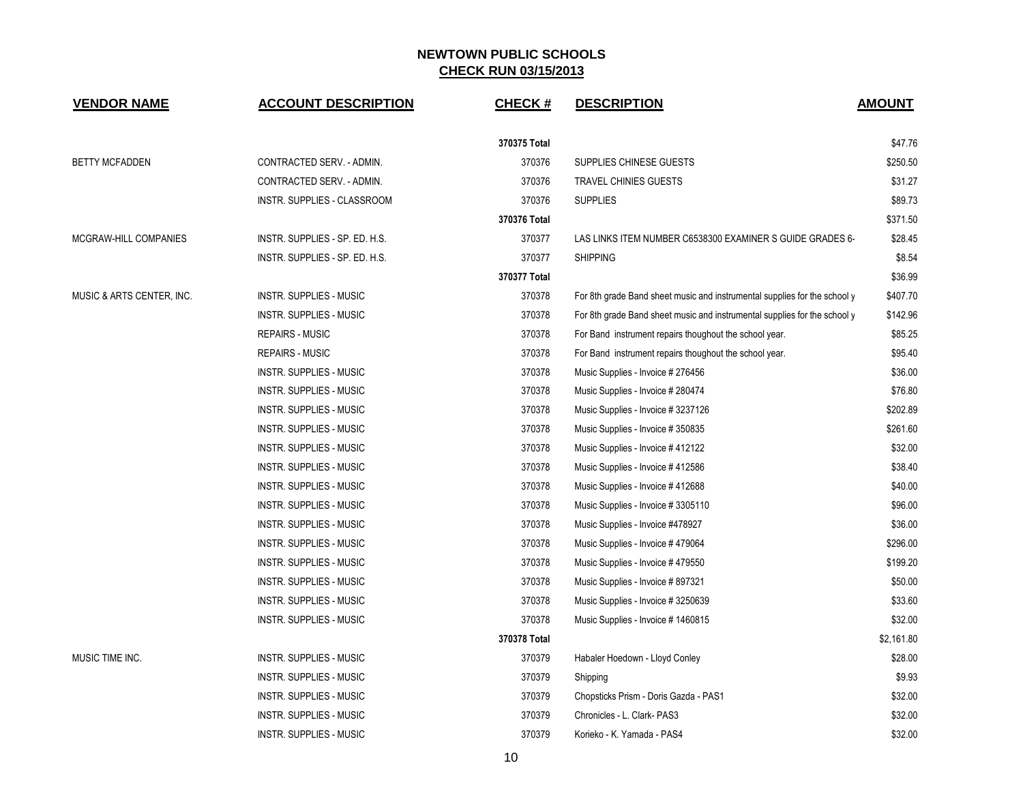| <b>VENDOR NAME</b>        | <b>ACCOUNT DESCRIPTION</b>     | <b>CHECK#</b> | <b>DESCRIPTION</b>                                                        | <b>AMOUNT</b> |
|---------------------------|--------------------------------|---------------|---------------------------------------------------------------------------|---------------|
|                           |                                | 370375 Total  |                                                                           | \$47.76       |
| <b>BETTY MCFADDEN</b>     | CONTRACTED SERV. - ADMIN.      | 370376        | SUPPLIES CHINESE GUESTS                                                   | \$250.50      |
|                           | CONTRACTED SERV. - ADMIN.      | 370376        | <b>TRAVEL CHINIES GUESTS</b>                                              | \$31.27       |
|                           | INSTR. SUPPLIES - CLASSROOM    | 370376        | <b>SUPPLIES</b>                                                           | \$89.73       |
|                           |                                | 370376 Total  |                                                                           | \$371.50      |
| MCGRAW-HILL COMPANIES     | INSTR. SUPPLIES - SP. ED. H.S. | 370377        | LAS LINKS ITEM NUMBER C6538300 EXAMINER S GUIDE GRADES 6-                 | \$28.45       |
|                           | INSTR. SUPPLIES - SP. ED. H.S. | 370377        | <b>SHIPPING</b>                                                           | \$8.54        |
|                           |                                | 370377 Total  |                                                                           | \$36.99       |
| MUSIC & ARTS CENTER, INC. | INSTR. SUPPLIES - MUSIC        | 370378        | For 8th grade Band sheet music and instrumental supplies for the school y | \$407.70      |
|                           | <b>INSTR. SUPPLIES - MUSIC</b> | 370378        | For 8th grade Band sheet music and instrumental supplies for the school y | \$142.96      |
|                           | <b>REPAIRS - MUSIC</b>         | 370378        | For Band instrument repairs thoughout the school year.                    | \$85.25       |
|                           | <b>REPAIRS - MUSIC</b>         | 370378        | For Band instrument repairs thoughout the school year.                    | \$95.40       |
|                           | INSTR. SUPPLIES - MUSIC        | 370378        | Music Supplies - Invoice # 276456                                         | \$36.00       |
|                           | INSTR. SUPPLIES - MUSIC        | 370378        | Music Supplies - Invoice # 280474                                         | \$76.80       |
|                           | INSTR. SUPPLIES - MUSIC        | 370378        | Music Supplies - Invoice # 3237126                                        | \$202.89      |
|                           | INSTR. SUPPLIES - MUSIC        | 370378        | Music Supplies - Invoice # 350835                                         | \$261.60      |
|                           | <b>INSTR. SUPPLIES - MUSIC</b> | 370378        | Music Supplies - Invoice #412122                                          | \$32.00       |
|                           | <b>INSTR. SUPPLIES - MUSIC</b> | 370378        | Music Supplies - Invoice #412586                                          | \$38.40       |
|                           | INSTR. SUPPLIES - MUSIC        | 370378        | Music Supplies - Invoice # 412688                                         | \$40.00       |
|                           | INSTR. SUPPLIES - MUSIC        | 370378        | Music Supplies - Invoice # 3305110                                        | \$96.00       |
|                           | INSTR. SUPPLIES - MUSIC        | 370378        | Music Supplies - Invoice #478927                                          | \$36.00       |
|                           | INSTR. SUPPLIES - MUSIC        | 370378        | Music Supplies - Invoice #479064                                          | \$296.00      |
|                           | INSTR. SUPPLIES - MUSIC        | 370378        | Music Supplies - Invoice #479550                                          | \$199.20      |
|                           | INSTR. SUPPLIES - MUSIC        | 370378        | Music Supplies - Invoice # 897321                                         | \$50.00       |
|                           | INSTR. SUPPLIES - MUSIC        | 370378        | Music Supplies - Invoice # 3250639                                        | \$33.60       |
|                           | <b>INSTR. SUPPLIES - MUSIC</b> | 370378        | Music Supplies - Invoice # 1460815                                        | \$32.00       |
|                           |                                | 370378 Total  |                                                                           | \$2,161.80    |
| MUSIC TIME INC.           | <b>INSTR. SUPPLIES - MUSIC</b> | 370379        | Habaler Hoedown - Lloyd Conley                                            | \$28.00       |
|                           | <b>INSTR. SUPPLIES - MUSIC</b> | 370379        | Shipping                                                                  | \$9.93        |
|                           | INSTR. SUPPLIES - MUSIC        | 370379        | Chopsticks Prism - Doris Gazda - PAS1                                     | \$32.00       |
|                           | INSTR. SUPPLIES - MUSIC        | 370379        | Chronicles - L. Clark- PAS3                                               | \$32.00       |
|                           | <b>INSTR. SUPPLIES - MUSIC</b> | 370379        | Korieko - K. Yamada - PAS4                                                | \$32.00       |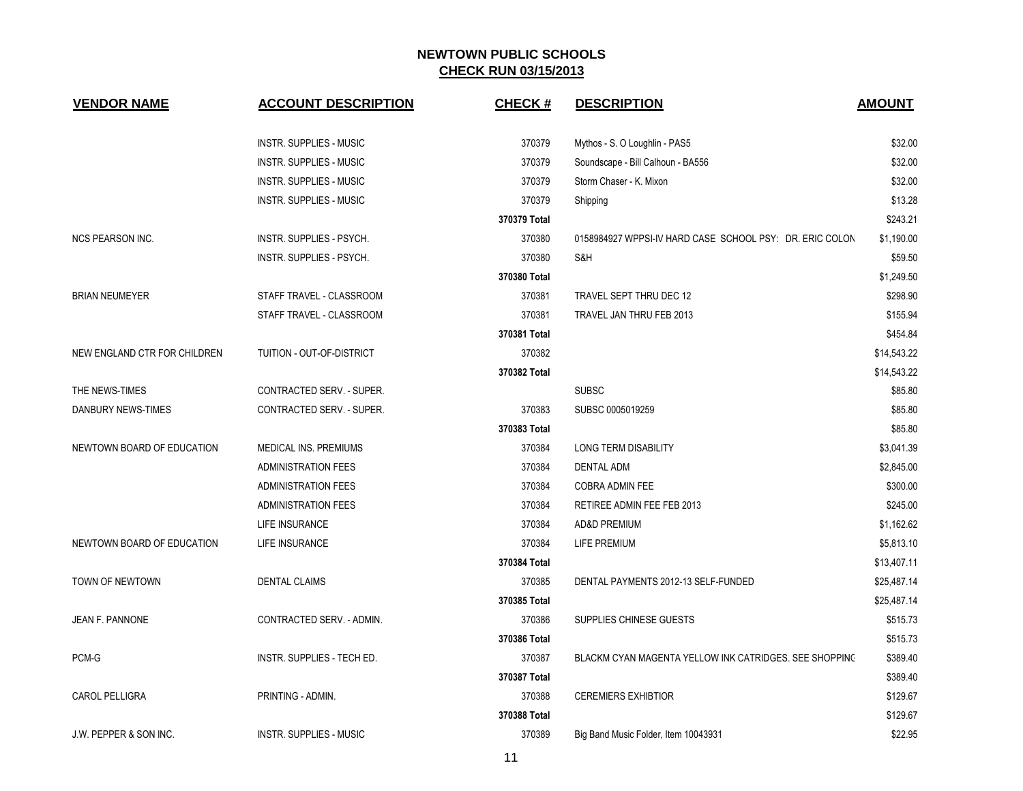| <b>VENDOR NAME</b>           | <b>ACCOUNT DESCRIPTION</b>     | <b>CHECK#</b> | <b>DESCRIPTION</b>                                       | <b>AMOUNT</b> |
|------------------------------|--------------------------------|---------------|----------------------------------------------------------|---------------|
|                              | <b>INSTR. SUPPLIES - MUSIC</b> | 370379        | Mythos - S. O Loughlin - PAS5                            | \$32.00       |
|                              | <b>INSTR. SUPPLIES - MUSIC</b> | 370379        | Soundscape - Bill Calhoun - BA556                        | \$32.00       |
|                              | <b>INSTR. SUPPLIES - MUSIC</b> | 370379        | Storm Chaser - K. Mixon                                  | \$32.00       |
|                              | <b>INSTR. SUPPLIES - MUSIC</b> | 370379        | Shipping                                                 | \$13.28       |
|                              |                                | 370379 Total  |                                                          | \$243.21      |
| <b>NCS PEARSON INC.</b>      | INSTR. SUPPLIES - PSYCH.       | 370380        | 0158984927 WPPSI-IV HARD CASE SCHOOL PSY: DR. ERIC COLON | \$1,190.00    |
|                              | INSTR. SUPPLIES - PSYCH.       | 370380        | S&H                                                      | \$59.50       |
|                              |                                | 370380 Total  |                                                          | \$1,249.50    |
| <b>BRIAN NEUMEYER</b>        | STAFF TRAVEL - CLASSROOM       | 370381        | TRAVEL SEPT THRU DEC 12                                  | \$298.90      |
|                              | STAFF TRAVEL - CLASSROOM       | 370381        | TRAVEL JAN THRU FEB 2013                                 | \$155.94      |
|                              |                                | 370381 Total  |                                                          | \$454.84      |
| NEW ENGLAND CTR FOR CHILDREN | TUITION - OUT-OF-DISTRICT      | 370382        |                                                          | \$14,543.22   |
|                              |                                | 370382 Total  |                                                          | \$14,543.22   |
| THE NEWS-TIMES               | CONTRACTED SERV. - SUPER.      |               | <b>SUBSC</b>                                             | \$85.80       |
| DANBURY NEWS-TIMES           | CONTRACTED SERV. - SUPER.      | 370383        | SUBSC 0005019259                                         | \$85.80       |
|                              |                                | 370383 Total  |                                                          | \$85.80       |
| NEWTOWN BOARD OF EDUCATION   | MEDICAL INS. PREMIUMS          | 370384        | LONG TERM DISABILITY                                     | \$3,041.39    |
|                              | <b>ADMINISTRATION FEES</b>     | 370384        | <b>DENTAL ADM</b>                                        | \$2,845.00    |
|                              | <b>ADMINISTRATION FEES</b>     | 370384        | COBRA ADMIN FEE                                          | \$300.00      |
|                              | <b>ADMINISTRATION FEES</b>     | 370384        | RETIREE ADMIN FEE FEB 2013                               | \$245.00      |
|                              | LIFE INSURANCE                 | 370384        | <b>AD&amp;D PREMIUM</b>                                  | \$1,162.62    |
| NEWTOWN BOARD OF EDUCATION   | LIFE INSURANCE                 | 370384        | LIFE PREMIUM                                             | \$5,813.10    |
|                              |                                | 370384 Total  |                                                          | \$13,407.11   |
| TOWN OF NEWTOWN              | <b>DENTAL CLAIMS</b>           | 370385        | DENTAL PAYMENTS 2012-13 SELF-FUNDED                      | \$25,487.14   |
|                              |                                | 370385 Total  |                                                          | \$25,487.14   |
| JEAN F. PANNONE              | CONTRACTED SERV. - ADMIN.      | 370386        | SUPPLIES CHINESE GUESTS                                  | \$515.73      |
|                              |                                | 370386 Total  |                                                          | \$515.73      |
| PCM-G                        | INSTR. SUPPLIES - TECH ED.     | 370387        | BLACKM CYAN MAGENTA YELLOW INK CATRIDGES. SEE SHOPPINC   | \$389.40      |
|                              |                                | 370387 Total  |                                                          | \$389.40      |
| CAROL PELLIGRA               | PRINTING - ADMIN.              | 370388        | <b>CEREMIERS EXHIBTIOR</b>                               | \$129.67      |
|                              |                                | 370388 Total  |                                                          | \$129.67      |
| J.W. PEPPER & SON INC.       | <b>INSTR. SUPPLIES - MUSIC</b> | 370389        | Big Band Music Folder, Item 10043931                     | \$22.95       |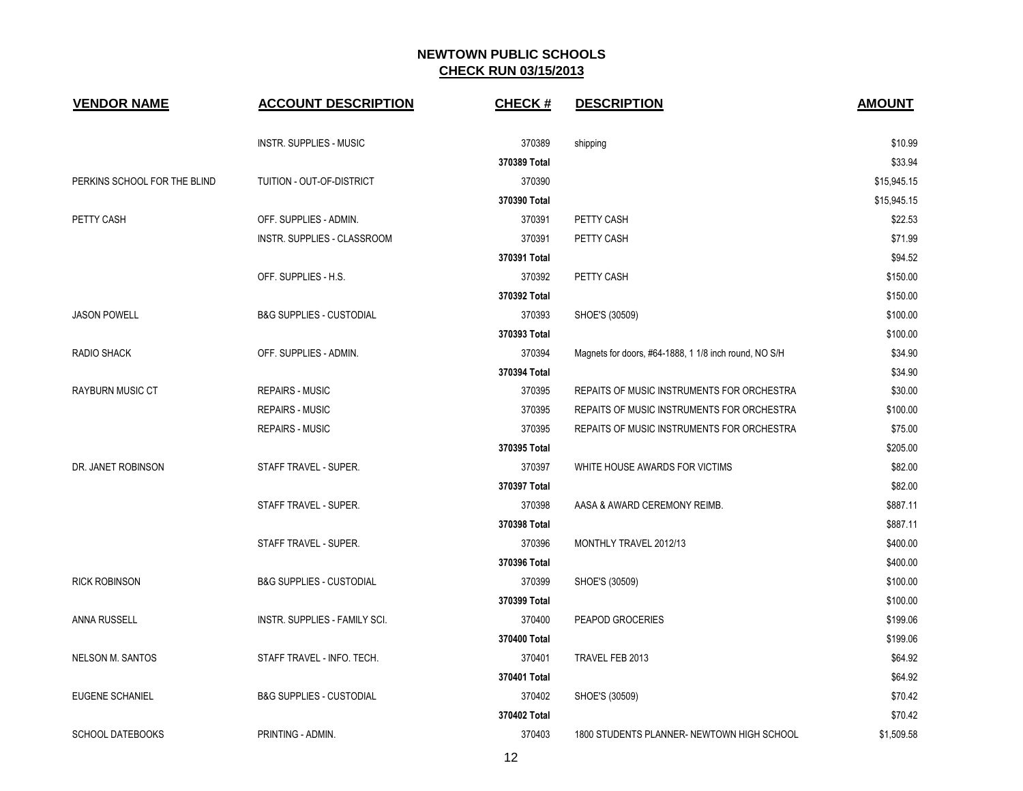| <b>VENDOR NAME</b>           | <b>ACCOUNT DESCRIPTION</b>          | <b>CHECK#</b> | <b>DESCRIPTION</b>                                    | <b>AMOUNT</b> |
|------------------------------|-------------------------------------|---------------|-------------------------------------------------------|---------------|
|                              | <b>INSTR. SUPPLIES - MUSIC</b>      | 370389        | shipping                                              | \$10.99       |
|                              |                                     | 370389 Total  |                                                       | \$33.94       |
| PERKINS SCHOOL FOR THE BLIND | TUITION - OUT-OF-DISTRICT           | 370390        |                                                       | \$15,945.15   |
|                              |                                     | 370390 Total  |                                                       | \$15,945.15   |
| PETTY CASH                   | OFF. SUPPLIES - ADMIN.              | 370391        | PETTY CASH                                            | \$22.53       |
|                              | INSTR. SUPPLIES - CLASSROOM         | 370391        | PETTY CASH                                            | \$71.99       |
|                              |                                     | 370391 Total  |                                                       | \$94.52       |
|                              | OFF. SUPPLIES - H.S.                | 370392        | PETTY CASH                                            | \$150.00      |
|                              |                                     | 370392 Total  |                                                       | \$150.00      |
| <b>JASON POWELL</b>          | <b>B&amp;G SUPPLIES - CUSTODIAL</b> | 370393        | SHOE'S (30509)                                        | \$100.00      |
|                              |                                     | 370393 Total  |                                                       | \$100.00      |
| RADIO SHACK                  | OFF. SUPPLIES - ADMIN.              | 370394        | Magnets for doors, #64-1888, 1 1/8 inch round, NO S/H | \$34.90       |
|                              |                                     | 370394 Total  |                                                       | \$34.90       |
| <b>RAYBURN MUSIC CT</b>      | <b>REPAIRS - MUSIC</b>              | 370395        | REPAITS OF MUSIC INSTRUMENTS FOR ORCHESTRA            | \$30.00       |
|                              | <b>REPAIRS - MUSIC</b>              | 370395        | REPAITS OF MUSIC INSTRUMENTS FOR ORCHESTRA            | \$100.00      |
|                              | <b>REPAIRS - MUSIC</b>              | 370395        | REPAITS OF MUSIC INSTRUMENTS FOR ORCHESTRA            | \$75.00       |
|                              |                                     | 370395 Total  |                                                       | \$205.00      |
| DR. JANET ROBINSON           | STAFF TRAVEL - SUPER.               | 370397        | WHITE HOUSE AWARDS FOR VICTIMS                        | \$82.00       |
|                              |                                     | 370397 Total  |                                                       | \$82.00       |
|                              | STAFF TRAVEL - SUPER.               | 370398        | AASA & AWARD CEREMONY REIMB.                          | \$887.11      |
|                              |                                     | 370398 Total  |                                                       | \$887.11      |
|                              | STAFF TRAVEL - SUPER.               | 370396        | MONTHLY TRAVEL 2012/13                                | \$400.00      |
|                              |                                     | 370396 Total  |                                                       | \$400.00      |
| <b>RICK ROBINSON</b>         | <b>B&amp;G SUPPLIES - CUSTODIAL</b> | 370399        | SHOE'S (30509)                                        | \$100.00      |
|                              |                                     | 370399 Total  |                                                       | \$100.00      |
| ANNA RUSSELL                 | INSTR. SUPPLIES - FAMILY SCI.       | 370400        | PEAPOD GROCERIES                                      | \$199.06      |
|                              |                                     | 370400 Total  |                                                       | \$199.06      |
| <b>NELSON M. SANTOS</b>      | STAFF TRAVEL - INFO. TECH.          | 370401        | TRAVEL FEB 2013                                       | \$64.92       |
|                              |                                     | 370401 Total  |                                                       | \$64.92       |
| EUGENE SCHANIEL              | <b>B&amp;G SUPPLIES - CUSTODIAL</b> | 370402        | SHOE'S (30509)                                        | \$70.42       |
|                              |                                     | 370402 Total  |                                                       | \$70.42       |
| <b>SCHOOL DATEBOOKS</b>      | PRINTING - ADMIN.                   | 370403        | 1800 STUDENTS PLANNER- NEWTOWN HIGH SCHOOL            | \$1,509.58    |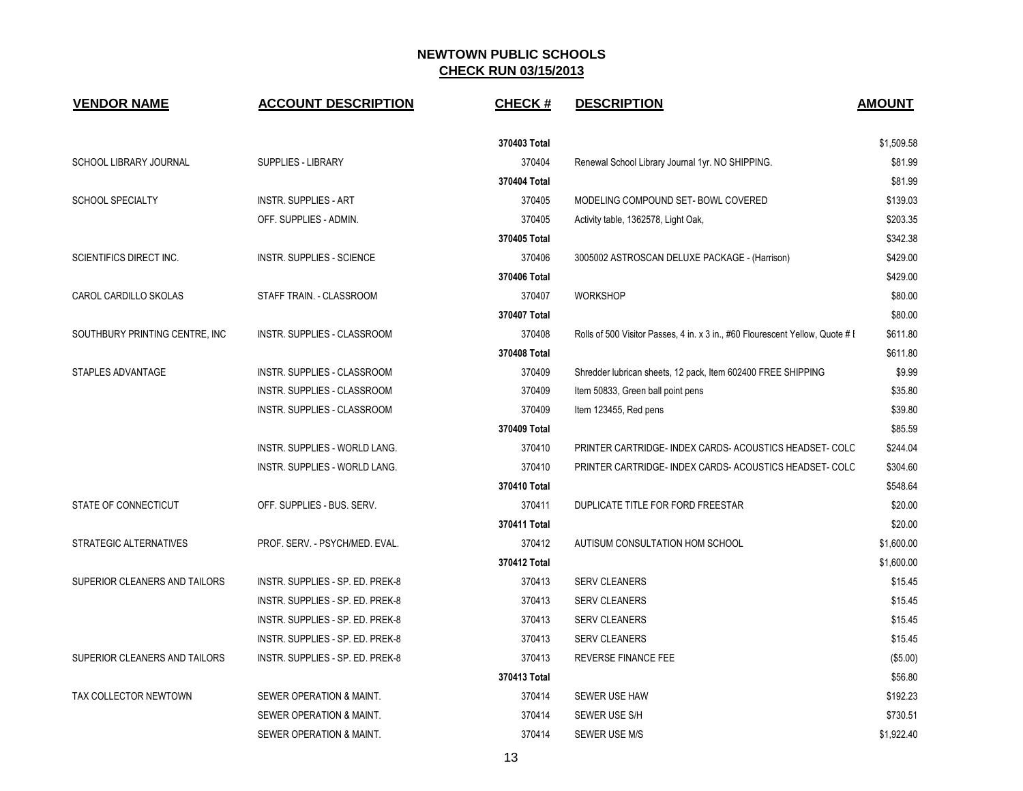| <b>VENDOR NAME</b>              | <b>ACCOUNT DESCRIPTION</b>       | <b>CHECK#</b> | <b>DESCRIPTION</b>                                                            | <b>AMOUNT</b> |
|---------------------------------|----------------------------------|---------------|-------------------------------------------------------------------------------|---------------|
|                                 |                                  | 370403 Total  |                                                                               | \$1,509.58    |
| SCHOOL LIBRARY JOURNAL          | <b>SUPPLIES - LIBRARY</b>        | 370404        | Renewal School Library Journal 1yr. NO SHIPPING.                              | \$81.99       |
|                                 |                                  | 370404 Total  |                                                                               | \$81.99       |
| <b>SCHOOL SPECIALTY</b>         | <b>INSTR. SUPPLIES - ART</b>     | 370405        | MODELING COMPOUND SET- BOWL COVERED                                           | \$139.03      |
|                                 | OFF. SUPPLIES - ADMIN.           | 370405        | Activity table, 1362578, Light Oak,                                           | \$203.35      |
|                                 |                                  | 370405 Total  |                                                                               | \$342.38      |
| <b>SCIENTIFICS DIRECT INC.</b>  | <b>INSTR. SUPPLIES - SCIENCE</b> | 370406        | 3005002 ASTROSCAN DELUXE PACKAGE - (Harrison)                                 | \$429.00      |
|                                 |                                  | 370406 Total  |                                                                               | \$429.00      |
| CAROL CARDILLO SKOLAS           | STAFF TRAIN. - CLASSROOM         | 370407        | <b>WORKSHOP</b>                                                               | \$80.00       |
|                                 |                                  | 370407 Total  |                                                                               | \$80.00       |
| SOUTHBURY PRINTING CENTRE, INC. | INSTR. SUPPLIES - CLASSROOM      | 370408        | Rolls of 500 Visitor Passes, 4 in. x 3 in., #60 Flourescent Yellow, Quote # I | \$611.80      |
|                                 |                                  | 370408 Total  |                                                                               | \$611.80      |
| STAPLES ADVANTAGE               | INSTR. SUPPLIES - CLASSROOM      | 370409        | Shredder lubrican sheets, 12 pack, Item 602400 FREE SHIPPING                  | \$9.99        |
|                                 | INSTR. SUPPLIES - CLASSROOM      | 370409        | Item 50833, Green ball point pens                                             | \$35.80       |
|                                 | INSTR. SUPPLIES - CLASSROOM      | 370409        | Item 123455, Red pens                                                         | \$39.80       |
|                                 |                                  | 370409 Total  |                                                                               | \$85.59       |
|                                 | INSTR. SUPPLIES - WORLD LANG.    | 370410        | PRINTER CARTRIDGE- INDEX CARDS-ACOUSTICS HEADSET- COLC                        | \$244.04      |
|                                 | INSTR. SUPPLIES - WORLD LANG.    | 370410        | PRINTER CARTRIDGE- INDEX CARDS- ACOUSTICS HEADSET- COLC                       | \$304.60      |
|                                 |                                  | 370410 Total  |                                                                               | \$548.64      |
| STATE OF CONNECTICUT            | OFF. SUPPLIES - BUS. SERV.       | 370411        | DUPLICATE TITLE FOR FORD FREESTAR                                             | \$20.00       |
|                                 |                                  | 370411 Total  |                                                                               | \$20.00       |
| STRATEGIC ALTERNATIVES          | PROF. SERV. - PSYCH/MED. EVAL.   | 370412        | AUTISUM CONSULTATION HOM SCHOOL                                               | \$1,600.00    |
|                                 |                                  | 370412 Total  |                                                                               | \$1,600.00    |
| SUPERIOR CLEANERS AND TAILORS   | INSTR. SUPPLIES - SP. ED. PREK-8 | 370413        | <b>SERV CLEANERS</b>                                                          | \$15.45       |
|                                 | INSTR. SUPPLIES - SP. ED. PREK-8 | 370413        | <b>SERV CLEANERS</b>                                                          | \$15.45       |
|                                 | INSTR. SUPPLIES - SP. ED. PREK-8 | 370413        | <b>SERV CLEANERS</b>                                                          | \$15.45       |
|                                 | INSTR. SUPPLIES - SP. ED. PREK-8 | 370413        | <b>SERV CLEANERS</b>                                                          | \$15.45       |
| SUPERIOR CLEANERS AND TAILORS   | INSTR. SUPPLIES - SP. ED. PREK-8 | 370413        | REVERSE FINANCE FEE                                                           | (\$5.00)      |
|                                 |                                  | 370413 Total  |                                                                               | \$56.80       |
| TAX COLLECTOR NEWTOWN           | SEWER OPERATION & MAINT.         | 370414        | SEWER USE HAW                                                                 | \$192.23      |
|                                 | SEWER OPERATION & MAINT.         | 370414        | SEWER USE S/H                                                                 | \$730.51      |
|                                 | SEWER OPERATION & MAINT.         | 370414        | <b>SEWER USE M/S</b>                                                          | \$1,922.40    |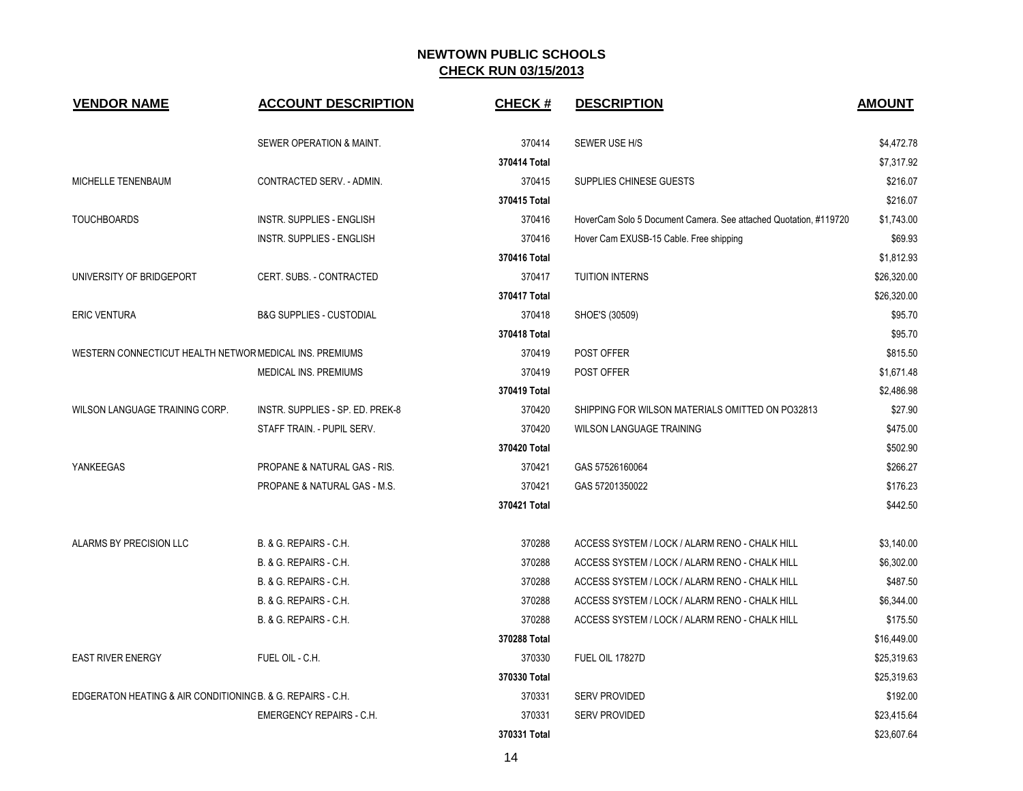| <b>VENDOR NAME</b>                                          | <b>ACCOUNT DESCRIPTION</b>          | <b>CHECK#</b> | <b>DESCRIPTION</b>                                               | <b>AMOUNT</b> |
|-------------------------------------------------------------|-------------------------------------|---------------|------------------------------------------------------------------|---------------|
|                                                             | SEWER OPERATION & MAINT.            | 370414        | SEWER USE H/S                                                    | \$4,472.78    |
|                                                             |                                     | 370414 Total  |                                                                  | \$7,317.92    |
| MICHELLE TENENBAUM                                          | CONTRACTED SERV. - ADMIN.           | 370415        | SUPPLIES CHINESE GUESTS                                          | \$216.07      |
|                                                             |                                     | 370415 Total  |                                                                  | \$216.07      |
| <b>TOUCHBOARDS</b>                                          | <b>INSTR. SUPPLIES - ENGLISH</b>    | 370416        | HoverCam Solo 5 Document Camera. See attached Quotation, #119720 | \$1,743.00    |
|                                                             | INSTR. SUPPLIES - ENGLISH           | 370416        | Hover Cam EXUSB-15 Cable. Free shipping                          | \$69.93       |
|                                                             |                                     | 370416 Total  |                                                                  | \$1,812.93    |
| UNIVERSITY OF BRIDGEPORT                                    | CERT. SUBS. - CONTRACTED            | 370417        | <b>TUITION INTERNS</b>                                           | \$26,320.00   |
|                                                             |                                     | 370417 Total  |                                                                  | \$26,320.00   |
| <b>ERIC VENTURA</b>                                         | <b>B&amp;G SUPPLIES - CUSTODIAL</b> | 370418        | SHOE'S (30509)                                                   | \$95.70       |
|                                                             |                                     | 370418 Total  |                                                                  | \$95.70       |
| WESTERN CONNECTICUT HEALTH NETWOR MEDICAL INS. PREMIUMS     |                                     | 370419        | POST OFFER                                                       | \$815.50      |
|                                                             | MEDICAL INS. PREMIUMS               | 370419        | POST OFFER                                                       | \$1,671.48    |
|                                                             |                                     | 370419 Total  |                                                                  | \$2,486.98    |
| WILSON LANGUAGE TRAINING CORP.                              | INSTR. SUPPLIES - SP. ED. PREK-8    | 370420        | SHIPPING FOR WILSON MATERIALS OMITTED ON PO32813                 | \$27.90       |
|                                                             | STAFF TRAIN. - PUPIL SERV.          | 370420        | <b>WILSON LANGUAGE TRAINING</b>                                  | \$475.00      |
|                                                             |                                     | 370420 Total  |                                                                  | \$502.90      |
| YANKEEGAS                                                   | PROPANE & NATURAL GAS - RIS.        | 370421        | GAS 57526160064                                                  | \$266.27      |
|                                                             | PROPANE & NATURAL GAS - M.S.        | 370421        | GAS 57201350022                                                  | \$176.23      |
|                                                             |                                     | 370421 Total  |                                                                  | \$442.50      |
| ALARMS BY PRECISION LLC                                     | B. & G. REPAIRS - C.H.              | 370288        | ACCESS SYSTEM / LOCK / ALARM RENO - CHALK HILL                   | \$3,140.00    |
|                                                             | B. & G. REPAIRS - C.H.              | 370288        | ACCESS SYSTEM / LOCK / ALARM RENO - CHALK HILL                   | \$6,302.00    |
|                                                             | B. & G. REPAIRS - C.H.              | 370288        | ACCESS SYSTEM / LOCK / ALARM RENO - CHALK HILL                   | \$487.50      |
|                                                             | B. & G. REPAIRS - C.H.              | 370288        | ACCESS SYSTEM / LOCK / ALARM RENO - CHALK HILL                   | \$6,344.00    |
|                                                             | B. & G. REPAIRS - C.H.              | 370288        | ACCESS SYSTEM / LOCK / ALARM RENO - CHALK HILL                   | \$175.50      |
|                                                             |                                     | 370288 Total  |                                                                  | \$16,449.00   |
| <b>EAST RIVER ENERGY</b>                                    | FUEL OIL - C.H.                     | 370330        | FUEL OIL 17827D                                                  | \$25,319.63   |
|                                                             |                                     | 370330 Total  |                                                                  | \$25,319.63   |
| EDGERATON HEATING & AIR CONDITIONING B. & G. REPAIRS - C.H. |                                     | 370331        | <b>SERV PROVIDED</b>                                             | \$192.00      |
|                                                             | <b>EMERGENCY REPAIRS - C.H.</b>     | 370331        | <b>SERV PROVIDED</b>                                             | \$23,415.64   |
|                                                             |                                     | 370331 Total  |                                                                  | \$23,607.64   |